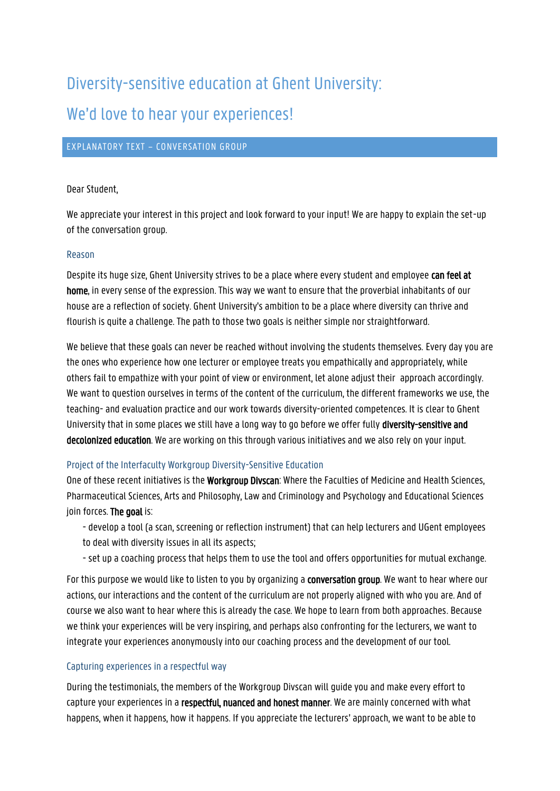# Diversity-sensitive education at Ghent University: We'd love to hear your experiences!

## EXPLANATORY TEXT – CONVERSATION GROUP

### Dear Student,

We appreciate your interest in this project and look forward to your input! We are happy to explain the set-up of the conversation group.

#### Reason

Despite its huge size, Ghent University strives to be a place where every student and employee can feel at home, in every sense of the expression. This way we want to ensure that the proverbial inhabitants of our house are a reflection of society. Ghent University's ambition to be a place where diversity can thrive and flourish is quite a challenge. The path to those two goals is neither simple nor straightforward.

We believe that these goals can never be reached without involving the students themselves. Every day you are the ones who experience how one lecturer or employee treats you empathically and appropriately, while others fail to empathize with your point of view or environment, let alone adjust their approach accordingly. We want to question ourselves in terms of the content of the curriculum, the different frameworks we use, the teaching- and evaluation practice and our work towards diversity-oriented competences. It is clear to Ghent University that in some places we still have a long way to go before we offer fully diversity-sensitive and decolonized education. We are working on this through various initiatives and we also rely on your input.

### Project of the Interfaculty Workgroup Diversity-Sensitive Education

One of these recent initiatives is the Workgroup Divscan: Where the Faculties of Medicine and Health Sciences, Pharmaceutical Sciences, Arts and Philosophy, Law and Criminology and Psychology and Educational Sciences ioin forces. The goal is:

- develop a tool (a scan, screening or reflection instrument) that can help lecturers and UGent employees to deal with diversity issues in all its aspects;
- set up a coaching process that helps them to use the tool and offers opportunities for mutual exchange.

For this purpose we would like to listen to you by organizing a conversation group. We want to hear where our actions, our interactions and the content of the curriculum are not properly aligned with who you are. And of course we also want to hear where this is already the case. We hope to learn from both approaches. Because we think your experiences will be very inspiring, and perhaps also confronting for the lecturers, we want to integrate your experiences anonymously into our coaching process and the development of our tool.

### Capturing experiences in a respectful way

During the testimonials, the members of the Workgroup Divscan will guide you and make every effort to capture your experiences in a respectful, nuanced and honest manner. We are mainly concerned with what happens, when it happens, how it happens. If you appreciate the lecturers' approach, we want to be able to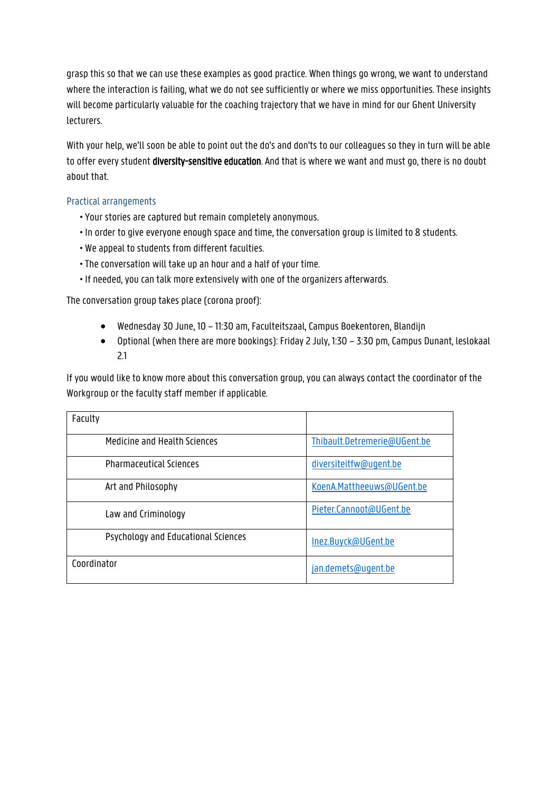grasp this so that we can use these examples as good practice. When things go wrong, we want to understand where the interaction is failing, what we do not see sufficiently or where we miss opportunities. These insights will become particularly valuable for the coaching trajectory that we have in mind for our Ghent University lecturers.

With your help, we'll soon be able to point out the do's and don'ts to our colleagues so they in turn will be able to offer every student **diversity-sensitive education**. And that is where we want and must go, there is no doubt about that.

## Practical arrangements

- Your stories are captured but remain completely anonymous.
- In order to give everyone enough space and time, the conversation group is limited to 8 students.
- We appeal to students from different faculties.
- The conversation will take up an hour and a half of your time.
- If needed, you can talk more extensively with one of the organizers afterwards.

The conversation group takes place (corona proof):

- Wednesday 30 June, 10 11:30 am, Faculteitszaal, Campus Boekentoren, Blandijn
- Optional (when there are more bookings): Friday 2 July, 1:30 3:30 pm, Campus Dunant, leslokaal 2.1

If you would like to know more about this conversation group, you can always contact the coordinator of the Workgroup or the faculty staff member if applicable.

| Faculty                             |                              |
|-------------------------------------|------------------------------|
| Medicine and Health Sciences        | Thibault.Detremerie@UGent.be |
| <b>Pharmaceutical Sciences</b>      | diversiteitfw@ugent.be       |
| Art and Philosophy                  | KoenA.Mattheeuws@UGent.be    |
| Law and Criminology                 | Pieter.Cannoot@UGent.be      |
| Psychology and Educational Sciences | Inez.Buyck@UGent.be          |
| Coordinator                         | jan.demets@ugent.be          |